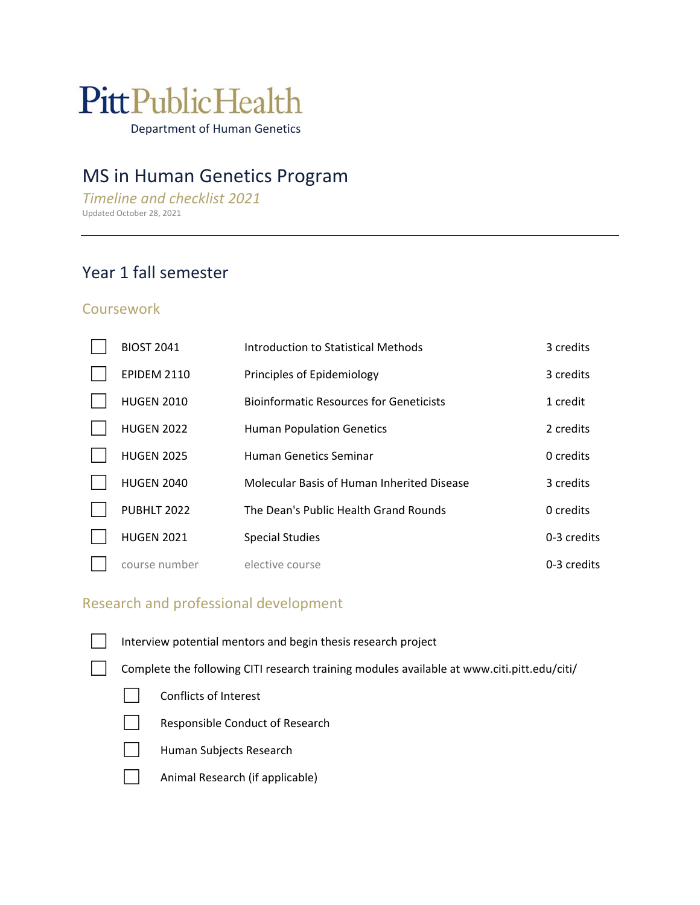# **PittPublicHealth**

Department of Human Genetics

# MS in Human Genetics Program

*Timeline and checklist 2021*  Updated October 28, 2021

# Year 1 fall semester

### **Coursework**

| <b>BIOST 2041</b>  | Introduction to Statistical Methods            | 3 credits   |
|--------------------|------------------------------------------------|-------------|
| <b>EPIDEM 2110</b> | Principles of Epidemiology                     | 3 credits   |
| <b>HUGEN 2010</b>  | <b>Bioinformatic Resources for Geneticists</b> | 1 credit    |
| <b>HUGEN 2022</b>  | <b>Human Population Genetics</b>               | 2 credits   |
| <b>HUGEN 2025</b>  | Human Genetics Seminar                         | 0 credits   |
| <b>HUGEN 2040</b>  | Molecular Basis of Human Inherited Disease     | 3 credits   |
| PUBHLT 2022        | The Dean's Public Health Grand Rounds          | 0 credits   |
| <b>HUGEN 2021</b>  | <b>Special Studies</b>                         | 0-3 credits |
| course number      | elective course                                | 0-3 credits |

## Research and professional development

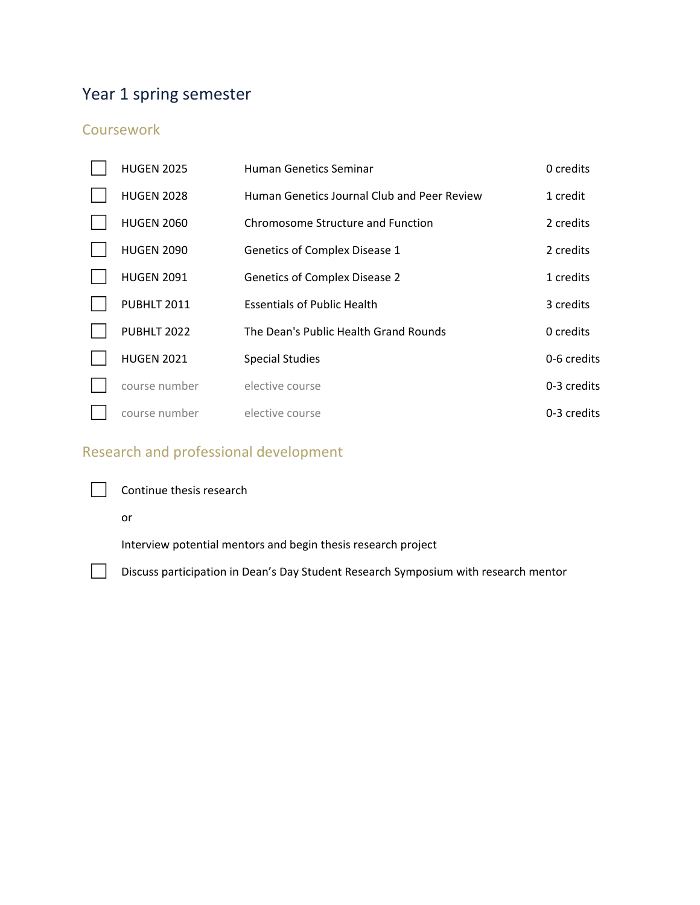# Year 1 spring semester

## **Coursework**

| <b>HUGEN 2025</b> | <b>Human Genetics Seminar</b>               | 0 credits   |
|-------------------|---------------------------------------------|-------------|
| <b>HUGEN 2028</b> | Human Genetics Journal Club and Peer Review | 1 credit    |
| <b>HUGEN 2060</b> | Chromosome Structure and Function           | 2 credits   |
| <b>HUGEN 2090</b> | Genetics of Complex Disease 1               | 2 credits   |
| <b>HUGEN 2091</b> | <b>Genetics of Complex Disease 2</b>        | 1 credits   |
| PUBHLT 2011       | <b>Essentials of Public Health</b>          | 3 credits   |
| PUBHLT 2022       | The Dean's Public Health Grand Rounds       | 0 credits   |
| <b>HUGEN 2021</b> | <b>Special Studies</b>                      | 0-6 credits |
| course number     | elective course                             | 0-3 credits |
| course number     | elective course                             | 0-3 credits |

# Research and professional development



□ Continue thesis research

#### or

Interview potential mentors and begin thesis research project

□ Discuss participation in Dean's Day Student Research Symposium with research mentor